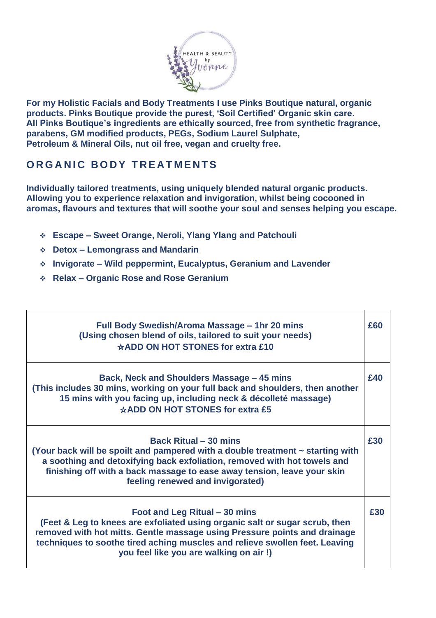

**For my Holistic Facials and Body Treatments I use Pinks Boutique natural, organic products. Pinks Boutique provide the purest, 'Soil Certified' Organic skin care. All Pinks Boutique's ingredients are ethically sourced, free from synthetic fragrance, parabens, GM modified products, PEGs, Sodium Laurel Sulphate, Petroleum & Mineral Oils, nut oil free, vegan and cruelty free.** 

## **ORGANIC BODY TREATMENTS**

**Individually tailored treatments, using uniquely blended natural organic products. Allowing you to experience relaxation and invigoration, whilst being cocooned in aromas, flavours and textures that will soothe your soul and senses helping you escape.**

- ❖ **Escape – Sweet Orange, Neroli, Ylang Ylang and Patchouli**
- ❖ **Detox – Lemongrass and Mandarin**
- ❖ **Invigorate – Wild peppermint, Eucalyptus, Geranium and Lavender**
- ❖ **Relax – Organic Rose and Rose Geranium**

| Full Body Swedish/Aroma Massage - 1hr 20 mins<br>(Using chosen blend of oils, tailored to suit your needs)<br>☆ADD ON HOT STONES for extra £10                                                                                                                                                                      | £60 |
|---------------------------------------------------------------------------------------------------------------------------------------------------------------------------------------------------------------------------------------------------------------------------------------------------------------------|-----|
| Back, Neck and Shoulders Massage - 45 mins<br>(This includes 30 mins, working on your full back and shoulders, then another<br>15 mins with you facing up, including neck & décolleté massage)<br>☆ADD ON HOT STONES for extra £5                                                                                   | £40 |
| <b>Back Ritual – 30 mins</b><br>(Your back will be spoilt and pampered with a double treatment ~ starting with<br>a soothing and detoxifying back exfoliation, removed with hot towels and<br>finishing off with a back massage to ease away tension, leave your skin<br>feeling renewed and invigorated)           | £30 |
| Foot and Leg Ritual – 30 mins<br>(Feet & Leg to knees are exfoliated using organic salt or sugar scrub, then<br>removed with hot mitts. Gentle massage using Pressure points and drainage<br>techniques to soothe tired aching muscles and relieve swollen feet. Leaving<br>you feel like you are walking on air !) | £30 |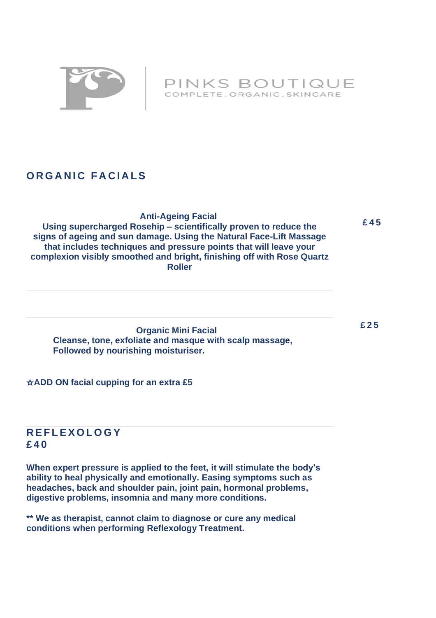

PINKS BOUTIQUE COMPLETE.ORGANIC.SKINCARE

# **ORGANIC FACIALS**

 **£45 Anti-Ageing Facial Using supercharged Rosehip – scientifically proven to reduce the signs of ageing and sun damage. Using the Natural Face-Lift Massage that includes techniques and pressure points that will leave your complexion visibly smoothed and bright, finishing off with Rose Quartz Roller** 

 **Organic Mini Facial Cleanse, tone, exfoliate and masque with scalp massage, Followed by nourishing moisturiser.** 

 **£25**

#### ☆**ADD ON facial cupping for an extra £5**

## **R E F L E X O L O G Y £40**

**When expert pressure is applied to the feet, it will stimulate the body's ability to heal physically and emotionally. Easing symptoms such as headaches, back and shoulder pain, joint pain, hormonal problems, digestive problems, insomnia and many more conditions.** 

**\*\* We as therapist, cannot claim to diagnose or cure any medical conditions when performing Reflexology Treatment.**